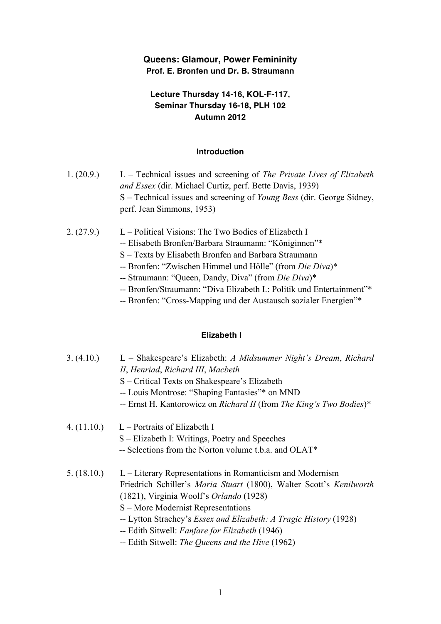## **Queens: Glamour, Power Femininity Prof. E. Bronfen und Dr. B. Straumann**

# **Lecture Thursday 14-16, KOL-F-117, Seminar Thursday 16-18, PLH 102 Autumn 2012**

#### **Introduction**

- 1. (20.9.) L Technical issues and screening of *The Private Lives of Elizabeth and Essex* (dir. Michael Curtiz, perf. Bette Davis, 1939) S – Technical issues and screening of *Young Bess* (dir. George Sidney, perf. Jean Simmons, 1953)
- 2. (27.9.) L Political Visions: The Two Bodies of Elizabeth I
	- -- Elisabeth Bronfen/Barbara Straumann: "Königinnen"\*
	- S Texts by Elisabeth Bronfen and Barbara Straumann
	- -- Bronfen: "Zwischen Himmel und Hölle" (from *Die Diva*)\*
	- -- Straumann: "Queen, Dandy, Diva" (from *Die Diva*)\*
	- -- Bronfen/Straumann: "Diva Elizabeth I.: Politik und Entertainment"\*
	- -- Bronfen: "Cross-Mapping und der Austausch sozialer Energien"\*

## **Elizabeth I**

| 3. (4.10.)  | L – Shakespeare's Elizabeth: A Midsummer Night's Dream, Richard<br>II, Henriad, Richard III, Macbeth<br>S – Critical Texts on Shakespeare's Elizabeth<br>-- Louis Montrose: "Shaping Fantasies"* on MND<br>-- Ernst H. Kantorowicz on Richard II (from The King's Two Bodies)*                                                                         |
|-------------|--------------------------------------------------------------------------------------------------------------------------------------------------------------------------------------------------------------------------------------------------------------------------------------------------------------------------------------------------------|
| 4. (11.10.) | $L$ – Portraits of Elizabeth I<br>S – Elizabeth I: Writings, Poetry and Speeches<br>-- Selections from the Norton volume t.b.a. and OLAT*                                                                                                                                                                                                              |
| 5. (18.10.) | L – Literary Representations in Romanticism and Modernism<br>Friedrich Schiller's Maria Stuart (1800), Walter Scott's Kenilworth<br>(1821), Virginia Woolf's Orlando (1928)<br>S – More Modernist Representations<br>-- Lytton Strachey's <i>Essex and Elizabeth: A Tragic History</i> (1928)<br>-- Edith Sitwell: <i>Fanfare for Elizabeth</i> (1946) |

-- Edith Sitwell: *The Queens and the Hive* (1962)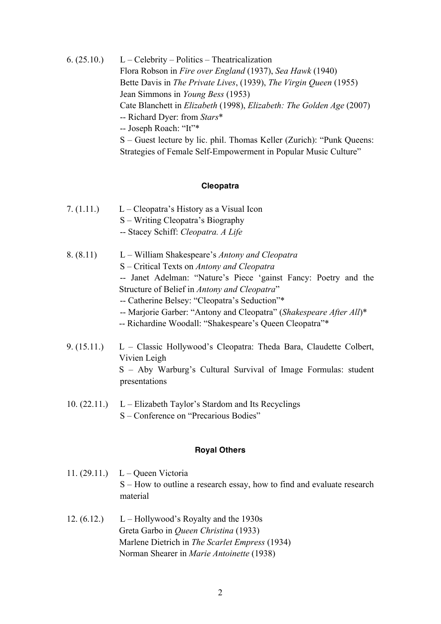6.  $(25.10)$  L – Celebrity – Politics – Theatricalization Flora Robson in *Fire over England* (1937), *Sea Hawk* (1940) Bette Davis in *The Private Lives*, (1939), *The Virgin Queen* (1955) Jean Simmons in *Young Bess* (1953) Cate Blanchett in *Elizabeth* (1998), *Elizabeth: The Golden Age* (2007) -- Richard Dyer: from *Stars*\* -- Joseph Roach: "It"\* S – Guest lecture by lic. phil. Thomas Keller (Zurich): "Punk Queens: Strategies of Female Self-Empowerment in Popular Music Culture"

#### **Cleopatra**

- 7.  $(1.11.)$  L Cleopatra's History as a Visual Icon S – Writing Cleopatra's Biography -- Stacey Schiff: *Cleopatra. A Life*
- 8. (8.11) L William Shakespeare's *Antony and Cleopatra* S – Critical Texts on *Antony and Cleopatra* -- Janet Adelman: "Nature's Piece 'gainst Fancy: Poetry and the Structure of Belief in *Antony and Cleopatra*" -- Catherine Belsey: "Cleopatra's Seduction"\* -- Marjorie Garber: "Antony and Cleopatra" (*Shakespeare After All*)\* -- Richardine Woodall: "Shakespeare's Queen Cleopatra"\*
- 9. (15.11.) L Classic Hollywood's Cleopatra: Theda Bara, Claudette Colbert, Vivien Leigh S – Aby Warburg's Cultural Survival of Image Formulas: student presentations
- 10.  $(22.11.)$  L Elizabeth Taylor's Stardom and Its Recyclings S – Conference on "Precarious Bodies"

#### **Royal Others**

- 11. (29.11.) L Queen Victoria S – How to outline a research essay, how to find and evaluate research material
- 12.  $(6.12)$  L Hollywood's Royalty and the 1930s Greta Garbo in *Queen Christina* (1933) Marlene Dietrich in *The Scarlet Empress* (1934) Norman Shearer in *Marie Antoinette* (1938)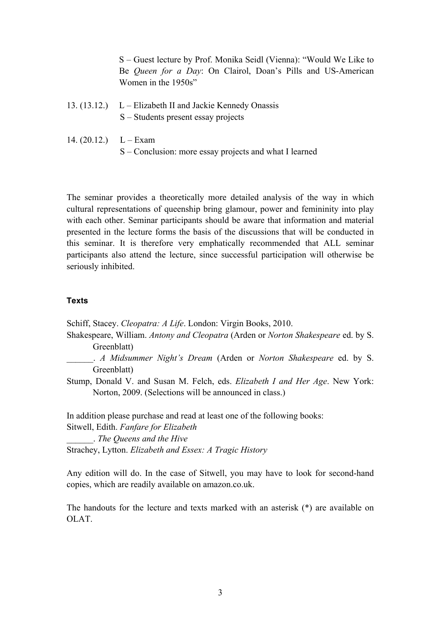S – Guest lecture by Prof. Monika Seidl (Vienna): "Would We Like to Be *Queen for a Day*: On Clairol, Doan's Pills and US-American Women in the 1950s"

- 13. (13.12.) L Elizabeth II and Jackie Kennedy Onassis S – Students present essay projects
- 14.  $(20.12.)$  L Exam S – Conclusion: more essay projects and what I learned

The seminar provides a theoretically more detailed analysis of the way in which cultural representations of queenship bring glamour, power and femininity into play with each other. Seminar participants should be aware that information and material presented in the lecture forms the basis of the discussions that will be conducted in this seminar. It is therefore very emphatically recommended that ALL seminar participants also attend the lecture, since successful participation will otherwise be seriously inhibited.

### **Texts**

Schiff, Stacey. *Cleopatra: A Life*. London: Virgin Books, 2010.

- Shakespeare, William. *Antony and Cleopatra* (Arden or *Norton Shakespeare* ed. by S. Greenblatt)
- \_\_\_\_\_\_. *A Midsummer Night's Dream* (Arden or *Norton Shakespeare* ed. by S. Greenblatt)
- Stump, Donald V. and Susan M. Felch, eds. *Elizabeth I and Her Age*. New York: Norton, 2009. (Selections will be announced in class.)

In addition please purchase and read at least one of the following books:

Sitwell, Edith. *Fanfare for Elizabeth*

\_\_\_\_\_\_. *The Queens and the Hive* Strachey, Lytton. *Elizabeth and Essex: A Tragic History*

Any edition will do. In the case of Sitwell, you may have to look for second-hand copies, which are readily available on amazon.co.uk.

The handouts for the lecture and texts marked with an asterisk (\*) are available on OLAT.